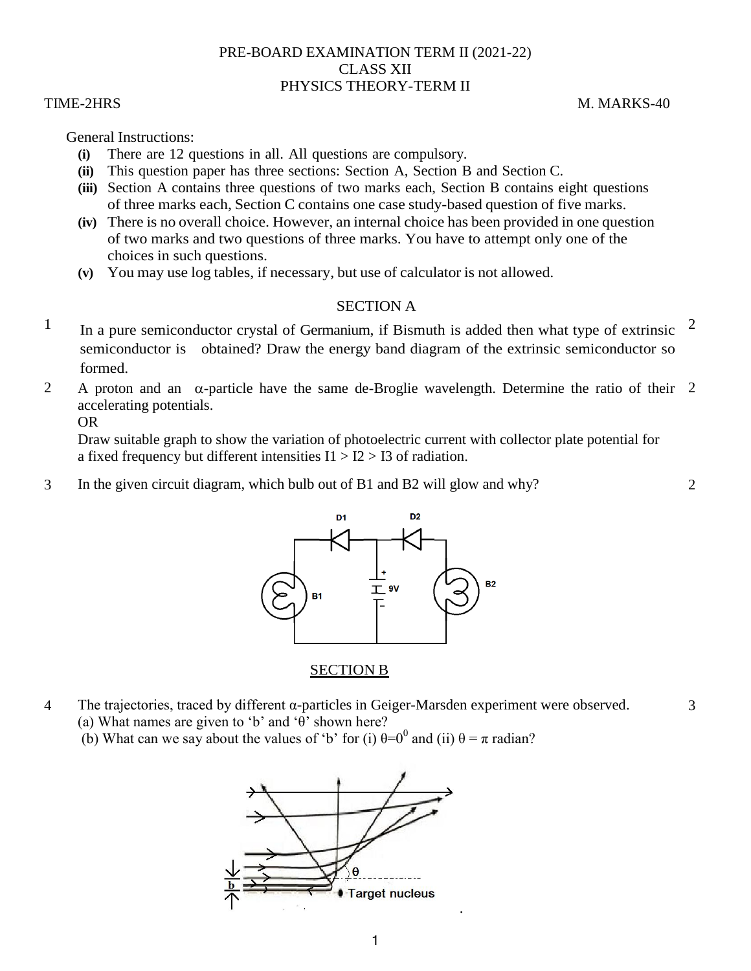## PRE-BOARD EXAMINATION TERM II (2021-22) CLASS XII PHYSICS THEORY-TERM II

TIME-2HRS M. MARKS-40

3

General Instructions:

- **(i)** There are 12 questions in all. All questions are compulsory.
- **(ii)** This question paper has three sections: Section A, Section B and Section C.
- **(iii)** Section A contains three questions of two marks each, Section B contains eight questions of three marks each, Section C contains one case study-based question of five marks.
- **(iv)** There is no overall choice. However, an internal choice has been provided in one question of two marks and two questions of three marks. You have to attempt only one of the choices in such questions.
- **(v)** You may use log tables, if necessary, but use of calculator is not allowed.

# SECTION A

- $1$  In a pure semiconductor crystal of Germanium, if Bismuth is added then what type of extrinsic semiconductor is obtained? Draw the energy band diagram of the extrinsic semiconductor so formed. 2
- 2 A proton and an  $\alpha$ -particle have the same de-Broglie wavelength. Determine the ratio of their 2 accelerating potentials.

OR

Draw suitable graph to show the variation of photoelectric current with collector plate potential for a fixed frequency but different intensities  $I1 > I2 > I3$  of radiation.

3 In the given circuit diagram, which bulb out of B1 and B2 will glow and why? 2



# SECTION B

4 The trajectories, traced by different α-particles in Geiger-Marsden experiment were observed. (a) What names are given to 'b' and 'θ' shown here?

(b) What can we say about the values of 'b' for (i)  $\theta = 0^0$  and (ii)  $\theta = \pi$  radian?

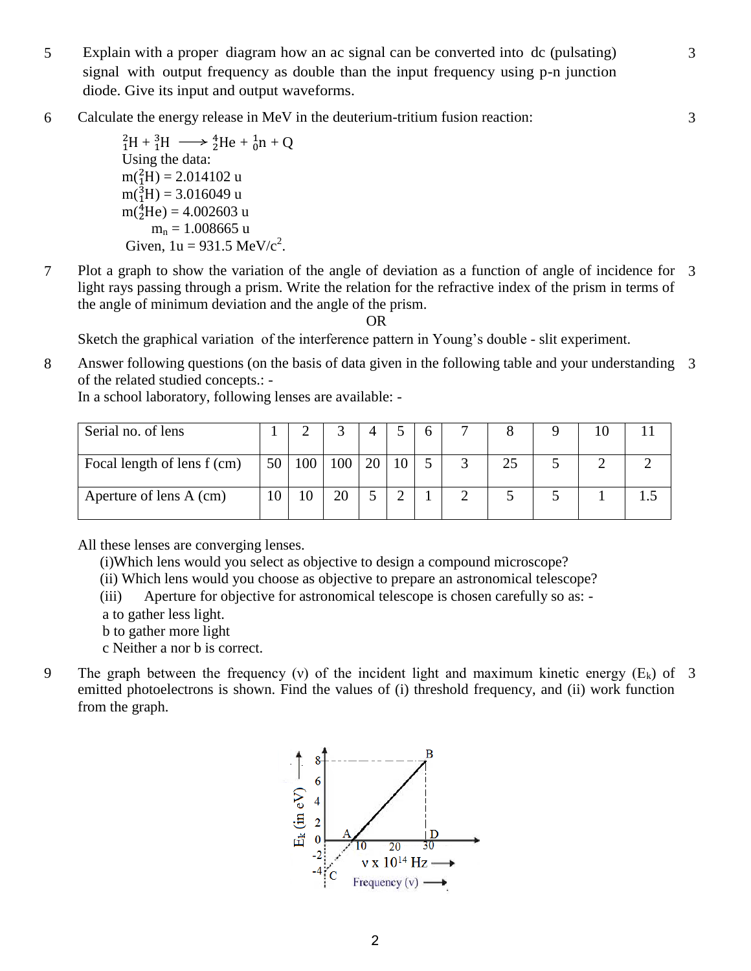5 Explain with a proper diagram how an ac signal can be converted into dc (pulsating) signal with output frequency as double than the input frequency using p-n junction diode. Give its input and output waveforms.

3

3

6 Calculate the energy release in MeV in the deuterium-tritium fusion reaction:

```
{}_{1}^{2}H + {}_{1}^{3}H \longrightarrow {}_{2}^{4}He + {}_{0}^{1}n + QUsing the data:
m(^2_1H) = 2.014102 u
m(^3_1H) = 3.016049 u
m(^{4}_{2}He) = 4.002603 u
      m_n = 1.008665 u
 Given, 1u = 931.5 \text{ MeV}/c^2.
```
7 Plot a graph to show the variation of the angle of deviation as a function of angle of incidence for 3 light rays passing through a prism. Write the relation for the refractive index of the prism in terms of the angle of minimum deviation and the angle of the prism.

OR

Sketch the graphical variation of the interference pattern in Young's double - slit experiment.

8 Answer following questions (on the basis of data given in the following table and your understanding 3 of the related studied concepts.: -

In a school laboratory, following lenses are available: -

| Serial no. of lens          |                 |     |     | $\Delta$ |     | 6 |    |  |  |
|-----------------------------|-----------------|-----|-----|----------|-----|---|----|--|--|
| Focal length of lens f (cm) | 50 <sub>1</sub> | 100 | 100 | 20 l     | -10 |   | 25 |  |  |
| Aperture of lens A (cm)     |                 |     | 20  |          | ⌒   |   |    |  |  |

All these lenses are converging lenses.

(i)Which lens would you select as objective to design a compound microscope?

(ii) Which lens would you choose as objective to prepare an astronomical telescope?

(iii) Aperture for objective for astronomical telescope is chosen carefully so as: -

a to gather less light.

- b to gather more light
- c Neither a nor b is correct.
- 9 The graph between the frequency (v) of the incident light and maximum kinetic energy  $(E_k)$  of 3 emitted photoelectrons is shown. Find the values of (i) threshold frequency, and (ii) work function from the graph.

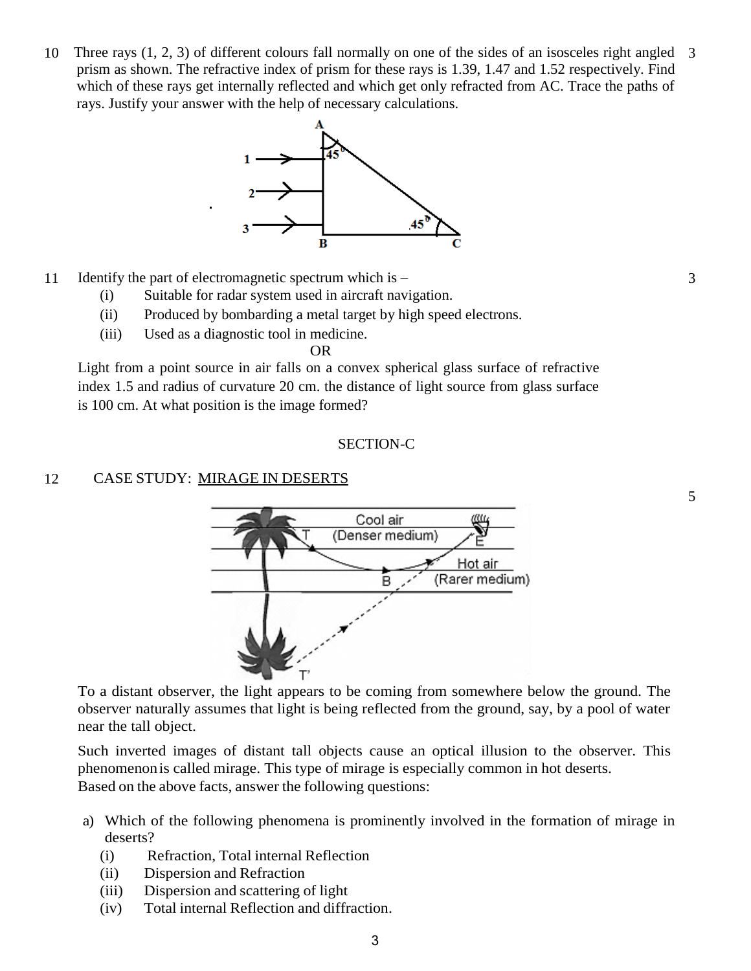10 Three rays (1, 2, 3) of different colours fall normally on one of the sides of an isosceles right angled 3 prism as shown. The refractive index of prism for these rays is 1.39, 1.47 and 1.52 respectively. Find which of these rays get internally reflected and which get only refracted from AC. Trace the paths of rays. Justify your answer with the help of necessary calculations.



- 11 Identify the part of electromagnetic spectrum which is
	- (i) Suitable for radar system used in aircraft navigation.
	- (ii) Produced by bombarding a metal target by high speed electrons.
	- (iii) Used as a diagnostic tool in medicine.

OR

Light from a point source in air falls on a convex spherical glass surface of refractive index 1.5 and radius of curvature 20 cm. the distance of light source from glass surface is 100 cm. At what position is the image formed?

#### SECTION-C

### 12 CASE STUDY: MIRAGE IN DESERTS



To a distant observer, the light appears to be coming from somewhere below the ground. The observer naturally assumes that light is being reflected from the ground, say, by a pool of water near the tall object.

Such inverted images of distant tall objects cause an optical illusion to the observer. This phenomenon is called mirage. This type of mirage is especially common in hot deserts. Based on the above facts, answer the following questions:

- a) Which of the following phenomena is prominently involved in the formation of mirage in deserts?
	- (i) Refraction, Total internal Reflection
	- (ii) Dispersion and Refraction
	- (iii) Dispersion and scattering of light
	- (iv) Total internal Reflection and diffraction.

5